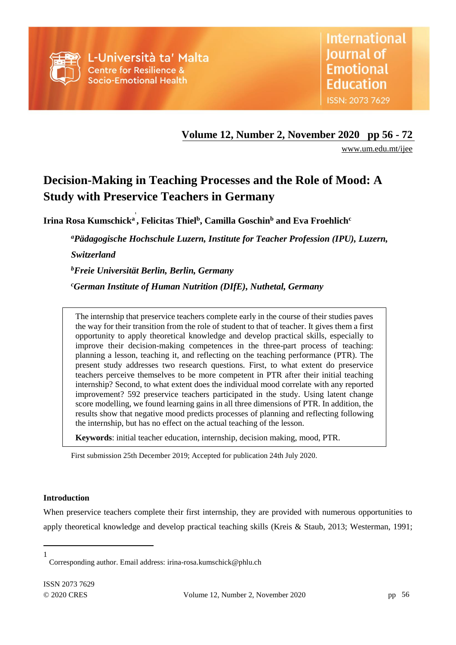

**Volume 12, Number 2, November 2020 pp 56 - 72**

[www.um.edu.mt/ijee](http://www.um.edu.mt/ijee)

# **Decision-Making in Teaching Processes and the Role of Mood: A Study with Preservice Teachers in Germany**

**Irina Rosa Kumschick<sup>a</sup> , Felicitas Thiel<sup>b</sup> , Camilla Goschin<sup>b</sup> and Eva Froehlich<sup>c</sup> 1**

*<sup>a</sup>Pädagogische Hochschule Luzern, Institute for Teacher Profession (IPU), Luzern, Switzerland*

*<sup>b</sup>Freie Universität Berlin, Berlin, Germany*

*<sup>c</sup>German Institute of Human Nutrition (DIfE), Nuthetal, Germany*

The internship that preservice teachers complete early in the course of their studies paves the way for their transition from the role of student to that of teacher. It gives them a first opportunity to apply theoretical knowledge and develop practical skills, especially to improve their decision-making competences in the three-part process of teaching: planning a lesson, teaching it, and reflecting on the teaching performance (PTR). The present study addresses two research questions. First, to what extent do preservice teachers perceive themselves to be more competent in PTR after their initial teaching internship? Second, to what extent does the individual mood correlate with any reported improvement? 592 preservice teachers participated in the study. Using latent change score modelling, we found learning gains in all three dimensions of PTR. In addition, the results show that negative mood predicts processes of planning and reflecting following the internship, but has no effect on the actual teaching of the lesson.

**Keywords**: initial teacher education, internship, decision making, mood, PTR.

First submission 25th December 2019; Accepted for publication 24th July 2020.

# **Introduction**

l

When preservice teachers complete their first internship, they are provided with numerous opportunities to apply theoretical knowledge and develop practical teaching skills (Kreis & Staub, 2013; Westerman, 1991;

<sup>1</sup> Corresponding author. Email address: irina-rosa.kumschick@phlu.ch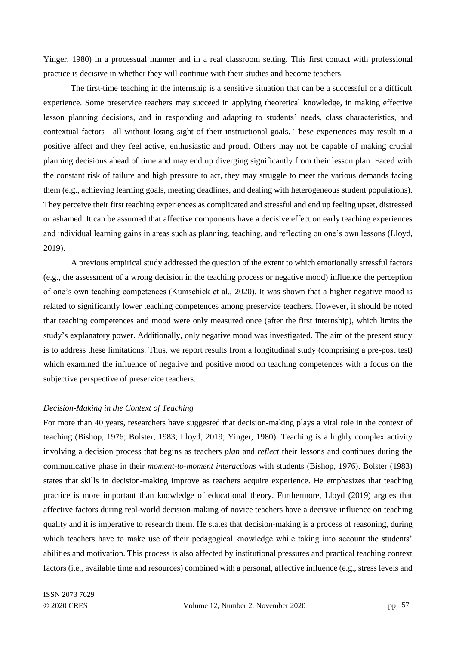Yinger, 1980) in a processual manner and in a real classroom setting. This first contact with professional practice is decisive in whether they will continue with their studies and become teachers.

The first-time teaching in the internship is a sensitive situation that can be a successful or a difficult experience. Some preservice teachers may succeed in applying theoretical knowledge, in making effective lesson planning decisions, and in responding and adapting to students' needs, class characteristics, and contextual factors—all without losing sight of their instructional goals. These experiences may result in a positive affect and they feel active, enthusiastic and proud. Others may not be capable of making crucial planning decisions ahead of time and may end up diverging significantly from their lesson plan. Faced with the constant risk of failure and high pressure to act, they may struggle to meet the various demands facing them (e.g., achieving learning goals, meeting deadlines, and dealing with heterogeneous student populations). They perceive their first teaching experiences as complicated and stressful and end up feeling upset, distressed or ashamed. It can be assumed that affective components have a decisive effect on early teaching experiences and individual learning gains in areas such as planning, teaching, and reflecting on one's own lessons (Lloyd, 2019).

A previous empirical study addressed the question of the extent to which emotionally stressful factors (e.g., the assessment of a wrong decision in the teaching process or negative mood) influence the perception of one's own teaching competences (Kumschick et al., 2020). It was shown that a higher negative mood is related to significantly lower teaching competences among preservice teachers. However, it should be noted that teaching competences and mood were only measured once (after the first internship), which limits the study's explanatory power. Additionally, only negative mood was investigated. The aim of the present study is to address these limitations. Thus, we report results from a longitudinal study (comprising a pre-post test) which examined the influence of negative and positive mood on teaching competences with a focus on the subjective perspective of preservice teachers.

# *Decision-Making in the Context of Teaching*

For more than 40 years, researchers have suggested that decision-making plays a vital role in the context of teaching (Bishop, 1976; Bolster, 1983; Lloyd, 2019; Yinger, 1980). Teaching is a highly complex activity involving a decision process that begins as teachers *plan* and *reflect* their lessons and continues during the communicative phase in their *moment-to-moment interactions* with students (Bishop, 1976). Bolster (1983) states that skills in decision-making improve as teachers acquire experience. He emphasizes that teaching practice is more important than knowledge of educational theory. Furthermore, Lloyd (2019) argues that affective factors during real-world decision-making of novice teachers have a decisive influence on teaching quality and it is imperative to research them. He states that decision-making is a process of reasoning, during which teachers have to make use of their pedagogical knowledge while taking into account the students' abilities and motivation. This process is also affected by institutional pressures and practical teaching context factors (i.e., available time and resources) combined with a personal, affective influence (e.g., stress levels and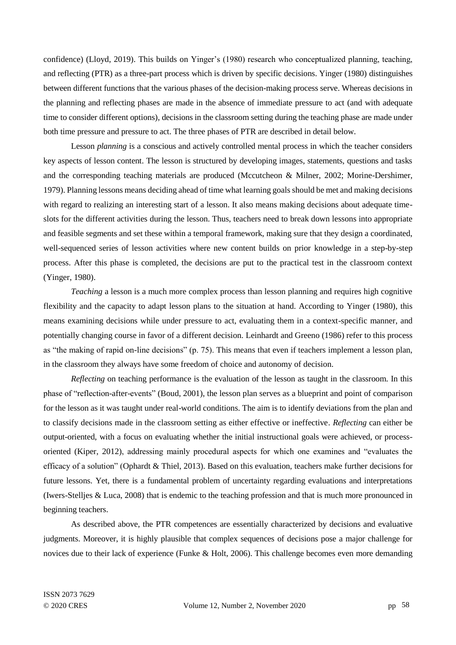confidence) (Lloyd, 2019). This builds on Yinger's (1980) research who conceptualized planning, teaching, and reflecting (PTR) as a three-part process which is driven by specific decisions. Yinger (1980) distinguishes between different functions that the various phases of the decision-making process serve. Whereas decisions in the planning and reflecting phases are made in the absence of immediate pressure to act (and with adequate time to consider different options), decisions in the classroom setting during the teaching phase are made under both time pressure and pressure to act. The three phases of PTR are described in detail below.

Lesson *planning* is a conscious and actively controlled mental process in which the teacher considers key aspects of lesson content. The lesson is structured by developing images, statements, questions and tasks and the corresponding teaching materials are produced (Mccutcheon & Milner, 2002; Morine-Dershimer, 1979). Planning lessons means deciding ahead of time what learning goals should be met and making decisions with regard to realizing an interesting start of a lesson. It also means making decisions about adequate timeslots for the different activities during the lesson. Thus, teachers need to break down lessons into appropriate and feasible segments and set these within a temporal framework, making sure that they design a coordinated, well-sequenced series of lesson activities where new content builds on prior knowledge in a step-by-step process. After this phase is completed, the decisions are put to the practical test in the classroom context (Yinger, 1980).

*Teaching* a lesson is a much more complex process than lesson planning and requires high cognitive flexibility and the capacity to adapt lesson plans to the situation at hand. According to Yinger (1980), this means examining decisions while under pressure to act, evaluating them in a context-specific manner, and potentially changing course in favor of a different decision. Leinhardt and Greeno (1986) refer to this process as "the making of rapid on-line decisions" (p. 75). This means that even if teachers implement a lesson plan, in the classroom they always have some freedom of choice and autonomy of decision.

*Reflecting* on teaching performance is the evaluation of the lesson as taught in the classroom. In this phase of "reflection-after-events" (Boud, 2001), the lesson plan serves as a blueprint and point of comparison for the lesson as it was taught under real-world conditions. The aim is to identify deviations from the plan and to classify decisions made in the classroom setting as either effective or ineffective. *Reflecting* can either be output-oriented, with a focus on evaluating whether the initial instructional goals were achieved, or processoriented (Kiper, 2012), addressing mainly procedural aspects for which one examines and "evaluates the efficacy of a solution" (Ophardt & Thiel, 2013). Based on this evaluation, teachers make further decisions for future lessons. Yet, there is a fundamental problem of uncertainty regarding evaluations and interpretations (Iwers-Stelljes & Luca, 2008) that is endemic to the teaching profession and that is much more pronounced in beginning teachers.

As described above, the PTR competences are essentially characterized by decisions and evaluative judgments. Moreover, it is highly plausible that complex sequences of decisions pose a major challenge for novices due to their lack of experience (Funke & Holt, 2006). This challenge becomes even more demanding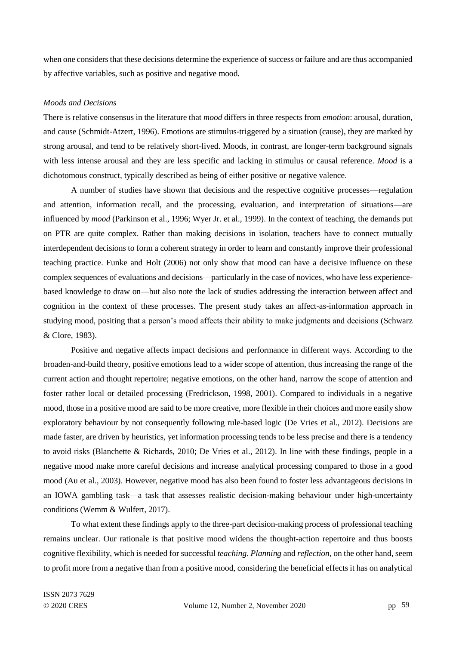when one considers that these decisions determine the experience of success or failure and are thus accompanied by affective variables, such as positive and negative mood.

## *Moods and Decisions*

There is relative consensus in the literature that *mood* differs in three respects from *emotion*: arousal, duration, and cause (Schmidt-Atzert, 1996). Emotions are stimulus-triggered by a situation (cause), they are marked by strong arousal, and tend to be relatively short-lived. Moods, in contrast, are longer-term background signals with less intense arousal and they are less specific and lacking in stimulus or causal reference. *Mood* is a dichotomous construct, typically described as being of either positive or negative valence.

A number of studies have shown that decisions and the respective cognitive processes—regulation and attention, information recall, and the processing, evaluation, and interpretation of situations—are influenced by *mood* (Parkinson et al., 1996; Wyer Jr. et al., 1999). In the context of teaching, the demands put on PTR are quite complex. Rather than making decisions in isolation, teachers have to connect mutually interdependent decisions to form a coherent strategy in order to learn and constantly improve their professional teaching practice. Funke and Holt (2006) not only show that mood can have a decisive influence on these complex sequences of evaluations and decisions—particularly in the case of novices, who have less experiencebased knowledge to draw on—but also note the lack of studies addressing the interaction between affect and cognition in the context of these processes. The present study takes an affect-as-information approach in studying mood, positing that a person's mood affects their ability to make judgments and decisions (Schwarz & Clore, 1983).

Positive and negative affects impact decisions and performance in different ways. According to the broaden-and-build theory, positive emotions lead to a wider scope of attention, thus increasing the range of the current action and thought repertoire; negative emotions, on the other hand, narrow the scope of attention and foster rather local or detailed processing (Fredrickson, 1998, 2001). Compared to individuals in a negative mood, those in a positive mood are said to be more creative, more flexible in their choices and more easily show exploratory behaviour by not consequently following rule-based logic (De Vries et al., 2012). Decisions are made faster, are driven by heuristics, yet information processing tends to be less precise and there is a tendency to avoid risks (Blanchette & Richards, 2010; De Vries et al., 2012). In line with these findings, people in a negative mood make more careful decisions and increase analytical processing compared to those in a good mood (Au et al., 2003). However, negative mood has also been found to foster less advantageous decisions in an IOWA gambling task—a task that assesses realistic decision-making behaviour under high-uncertainty conditions (Wemm & Wulfert, 2017).

To what extent these findings apply to the three-part decision-making process of professional teaching remains unclear. Our rationale is that positive mood widens the thought-action repertoire and thus boosts cognitive flexibility, which is needed for successful *teaching*. *Planning* and *reflection*, on the other hand, seem to profit more from a negative than from a positive mood, considering the beneficial effects it has on analytical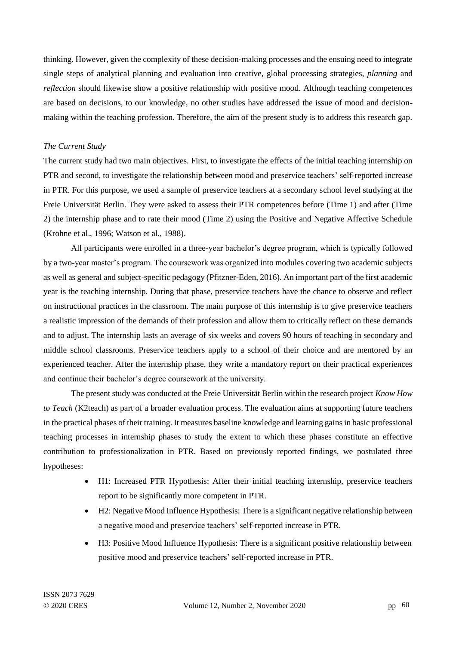thinking. However, given the complexity of these decision-making processes and the ensuing need to integrate single steps of analytical planning and evaluation into creative, global processing strategies, *planning* and *reflection* should likewise show a positive relationship with positive mood. Although teaching competences are based on decisions, to our knowledge, no other studies have addressed the issue of mood and decisionmaking within the teaching profession. Therefore, the aim of the present study is to address this research gap.

# *The Current Study*

The current study had two main objectives. First, to investigate the effects of the initial teaching internship on PTR and second, to investigate the relationship between mood and preservice teachers' self-reported increase in PTR. For this purpose, we used a sample of preservice teachers at a secondary school level studying at the Freie Universität Berlin. They were asked to assess their PTR competences before (Time 1) and after (Time 2) the internship phase and to rate their mood (Time 2) using the Positive and Negative Affective Schedule (Krohne et al., 1996; Watson et al., 1988).

All participants were enrolled in a three-year bachelor's degree program, which is typically followed by a two-year master's program. The coursework was organized into modules covering two academic subjects as well as general and subject-specific pedagogy (Pfitzner-Eden, 2016). An important part of the first academic year is the teaching internship. During that phase, preservice teachers have the chance to observe and reflect on instructional practices in the classroom. The main purpose of this internship is to give preservice teachers a realistic impression of the demands of their profession and allow them to critically reflect on these demands and to adjust. The internship lasts an average of six weeks and covers 90 hours of teaching in secondary and middle school classrooms. Preservice teachers apply to a school of their choice and are mentored by an experienced teacher. After the internship phase, they write a mandatory report on their practical experiences and continue their bachelor's degree coursework at the university.

The present study was conducted at the Freie Universität Berlin within the research project *Know How to Teach* (K2teach) as part of a broader evaluation process. The evaluation aims at supporting future teachers in the practical phases of their training. It measures baseline knowledge and learning gains in basic professional teaching processes in internship phases to study the extent to which these phases constitute an effective contribution to professionalization in PTR. Based on previously reported findings, we postulated three hypotheses:

- H1: Increased PTR Hypothesis: After their initial teaching internship, preservice teachers report to be significantly more competent in PTR.
- H2: Negative Mood Influence Hypothesis: There is a significant negative relationship between a negative mood and preservice teachers' self-reported increase in PTR.
- H3: Positive Mood Influence Hypothesis: There is a significant positive relationship between positive mood and preservice teachers' self-reported increase in PTR.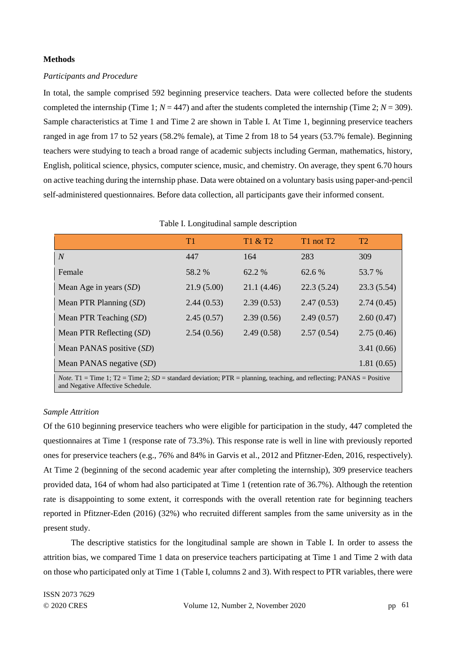# **Methods**

## *Participants and Procedure*

In total, the sample comprised 592 beginning preservice teachers. Data were collected before the students completed the internship (Time 1;  $N = 447$ ) and after the students completed the internship (Time 2;  $N = 309$ ). Sample characteristics at Time 1 and Time 2 are shown in Table I. At Time 1, beginning preservice teachers ranged in age from 17 to 52 years (58.2% female), at Time 2 from 18 to 54 years (53.7% female). Beginning teachers were studying to teach a broad range of academic subjects including German, mathematics, history, English, political science, physics, computer science, music, and chemistry. On average, they spent 6.70 hours on active teaching during the internship phase. Data were obtained on a voluntary basis using paper-and-pencil self-administered questionnaires. Before data collection, all participants gave their informed consent.

# Table I. Longitudinal sample description

|                                                                                                                                                                 | T <sub>1</sub> | T1 & T2     | T1 not T2  | T <sub>2</sub> |  |
|-----------------------------------------------------------------------------------------------------------------------------------------------------------------|----------------|-------------|------------|----------------|--|
| $\overline{N}$                                                                                                                                                  | 447            | 164         | 283        | 309            |  |
| Female                                                                                                                                                          | 58.2 %         | 62.2 %      | 62.6 %     | 53.7 %         |  |
| Mean Age in years $(SD)$                                                                                                                                        | 21.9(5.00)     | 21.1 (4.46) | 22.3(5.24) | 23.3(5.54)     |  |
| Mean PTR Planning $(SD)$                                                                                                                                        | 2.44(0.53)     | 2.39(0.53)  | 2.47(0.53) | 2.74(0.45)     |  |
| Mean PTR Teaching $(SD)$                                                                                                                                        | 2.45(0.57)     | 2.39(0.56)  | 2.49(0.57) | 2.60(0.47)     |  |
| Mean PTR Reflecting $(SD)$                                                                                                                                      | 2.54(0.56)     | 2.49(0.58)  | 2.57(0.54) | 2.75(0.46)     |  |
| Mean PANAS positive (SD)                                                                                                                                        |                |             |            | 3.41(0.66)     |  |
| Mean PANAS negative (SD)                                                                                                                                        |                |             |            | 1.81(0.65)     |  |
| <i>Note</i> . T1 = Time 1; T2 = Time 2; SD = standard deviation; PTR = planning, teaching, and reflecting; PANAS = Positive<br>and Negative Affective Schedule. |                |             |            |                |  |

#### *Sample Attrition*

Of the 610 beginning preservice teachers who were eligible for participation in the study, 447 completed the questionnaires at Time 1 (response rate of 73.3%). This response rate is well in line with previously reported ones for preservice teachers (e.g., 76% and 84% in Garvis et al., 2012 and Pfitzner-Eden, 2016, respectively). At Time 2 (beginning of the second academic year after completing the internship), 309 preservice teachers provided data, 164 of whom had also participated at Time 1 (retention rate of 36.7%). Although the retention rate is disappointing to some extent, it corresponds with the overall retention rate for beginning teachers reported in Pfitzner-Eden (2016) (32%) who recruited different samples from the same university as in the present study.

The descriptive statistics for the longitudinal sample are shown in Table I. In order to assess the attrition bias, we compared Time 1 data on preservice teachers participating at Time 1 and Time 2 with data on those who participated only at Time 1 (Table I, columns 2 and 3). With respect to PTR variables, there were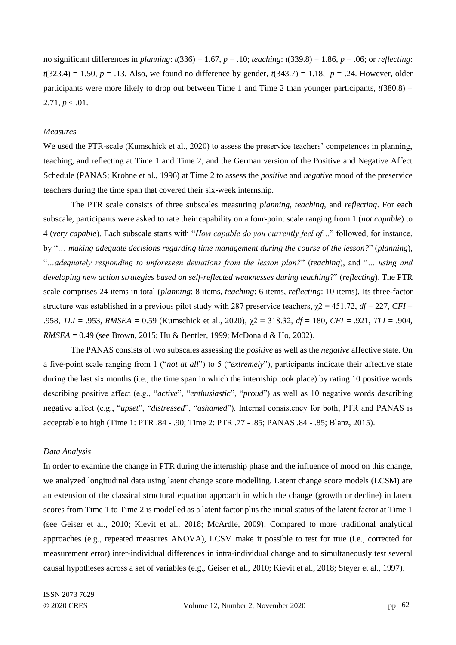no significant differences in *planning*: *t*(336) = 1.67, *p* = .10; *teaching*: *t*(339.8) = 1.86, *p* = .06; or *reflecting*: *t*(323.4) = 1.50, *p* = .13. Also, we found no difference by gender,  $t(343.7) = 1.18$ , *p* = .24. However, older participants were more likely to drop out between Time 1 and Time 2 than younger participants,  $t(380.8) =$  $2.71, p < .01$ .

# *Measures*

We used the PTR-scale (Kumschick et al., 2020) to assess the preservice teachers' competences in planning, teaching, and reflecting at Time 1 and Time 2, and the German version of the Positive and Negative Affect Schedule (PANAS; Krohne et al., 1996) at Time 2 to assess the *positive* and *negative* mood of the preservice teachers during the time span that covered their six-week internship.

The PTR scale consists of three subscales measuring *planning, teaching,* and *reflecting*. For each subscale, participants were asked to rate their capability on a four-point scale ranging from 1 (*not capable*) to 4 (*very capable*). Each subscale starts with "*How capable do you currently feel of…*" followed, for instance, by "… *making adequate decisions regarding time management during the course of the lesson?*" (*planning*), "*…adequately responding to unforeseen deviations from the lesson plan?*" (*teaching*), and "*… using and developing new action strategies based on self-reflected weaknesses during teaching?*" (*reflecting*). The PTR scale comprises 24 items in total (*planning*: 8 items, *teaching*: 6 items, *reflecting*: 10 items). Its three-factor structure was established in a previous pilot study with 287 preservice teachers,  $\chi$ 2 = 451.72, *df* = 227, *CFI* = .958, *TLI* = .953, *RMSEA* = 0.59 (Kumschick et al., 2020), χ2 = 318.32, *df* = 180, *CFI* = .921, *TLI* = .904, *RMSEA* = 0.49 (see Brown, 2015; Hu & Bentler, 1999; McDonald & Ho, 2002).

The PANAS consists of two subscales assessing the *positive* as well as the *negative* affective state. On a five-point scale ranging from 1 ("*not at all*") to 5 ("*extremely*"), participants indicate their affective state during the last six months (i.e., the time span in which the internship took place) by rating 10 positive words describing positive affect (e.g., "*active*", "*enthusiastic*", "*proud*") as well as 10 negative words describing negative affect (e.g., "*upset*", "*distressed*", "*ashamed*"). Internal consistency for both, PTR and PANAS is acceptable to high (Time 1: PTR .84 - .90; Time 2: PTR .77 - .85; PANAS .84 - .85; Blanz, 2015).

#### *Data Analysis*

In order to examine the change in PTR during the internship phase and the influence of mood on this change, we analyzed longitudinal data using latent change score modelling. Latent change score models (LCSM) are an extension of the classical structural equation approach in which the change (growth or decline) in latent scores from Time 1 to Time 2 is modelled as a latent factor plus the initial status of the latent factor at Time 1 (see Geiser et al., 2010; Kievit et al., 2018; McArdle, 2009). Compared to more traditional analytical approaches (e.g., repeated measures ANOVA), LCSM make it possible to test for true (i.e., corrected for measurement error) inter-individual differences in intra-individual change and to simultaneously test several causal hypotheses across a set of variables (e.g., Geiser et al., 2010; Kievit et al., 2018; Steyer et al., 1997).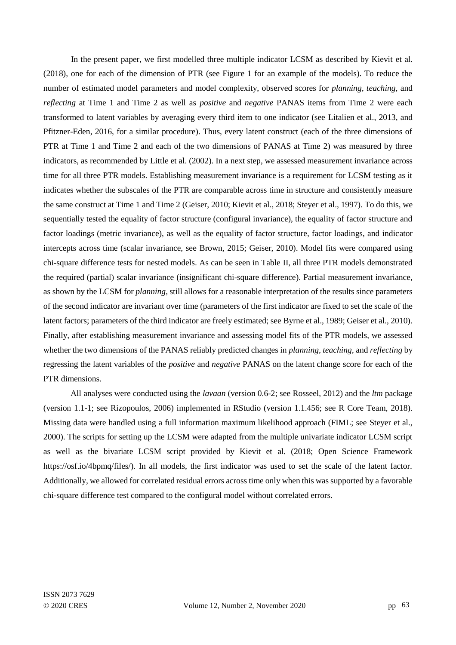In the present paper, we first modelled three multiple indicator LCSM as described by Kievit et al. (2018), one for each of the dimension of PTR (see Figure 1 for an example of the models). To reduce the number of estimated model parameters and model complexity, observed scores for *planning, teaching,* and *reflecting* at Time 1 and Time 2 as well as *positive* and *negative* PANAS items from Time 2 were each transformed to latent variables by averaging every third item to one indicator (see Litalien et al., 2013, and Pfitzner-Eden, 2016, for a similar procedure). Thus, every latent construct (each of the three dimensions of PTR at Time 1 and Time 2 and each of the two dimensions of PANAS at Time 2) was measured by three indicators, as recommended by Little et al. (2002). In a next step, we assessed measurement invariance across time for all three PTR models. Establishing measurement invariance is a requirement for LCSM testing as it indicates whether the subscales of the PTR are comparable across time in structure and consistently measure the same construct at Time 1 and Time 2 (Geiser, 2010; Kievit et al., 2018; Steyer et al., 1997). To do this, we sequentially tested the equality of factor structure (configural invariance), the equality of factor structure and factor loadings (metric invariance), as well as the equality of factor structure, factor loadings, and indicator intercepts across time (scalar invariance, see Brown, 2015; Geiser, 2010). Model fits were compared using chi-square difference tests for nested models. As can be seen in Table II, all three PTR models demonstrated the required (partial) scalar invariance (insignificant chi-square difference). Partial measurement invariance, as shown by the LCSM for *planning,* still allows for a reasonable interpretation of the results since parameters of the second indicator are invariant over time (parameters of the first indicator are fixed to set the scale of the latent factors; parameters of the third indicator are freely estimated; see Byrne et al., 1989; Geiser et al., 2010). Finally, after establishing measurement invariance and assessing model fits of the PTR models, we assessed whether the two dimensions of the PANAS reliably predicted changes in *planning, teaching,* and *reflecting* by regressing the latent variables of the *positive* and *negative* PANAS on the latent change score for each of the PTR dimensions.

All analyses were conducted using the *lavaan* (version 0.6-2; see Rosseel, 2012) and the *ltm* package (version 1.1-1; see Rizopoulos, 2006) implemented in RStudio (version 1.1.456; see R Core Team, 2018). Missing data were handled using a full information maximum likelihood approach (FIML; see Steyer et al., 2000). The scripts for setting up the LCSM were adapted from the multiple univariate indicator LCSM script as well as the bivariate LCSM script provided by Kievit et al. (2018; Open Science Framework https://osf.io/4bpmq/files/). In all models, the first indicator was used to set the scale of the latent factor. Additionally, we allowed for correlated residual errors across time only when this was supported by a favorable chi-square difference test compared to the configural model without correlated errors.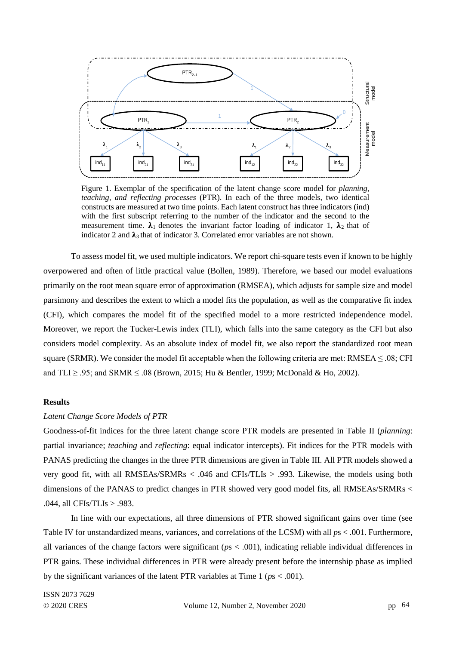

Figure 1. Exemplar of the specification of the latent change score model for *planning, teaching, and reflecting processes* (PTR). In each of the three models, two identical constructs are measured at two time points. Each latent construct has three indicators (ind) with the first subscript referring to the number of the indicator and the second to the measurement time.  $\lambda_1$  denotes the invariant factor loading of indicator 1,  $\lambda_2$  that of indicator 2 and  $\lambda_3$  that of indicator 3. Correlated error variables are not shown.

To assess model fit, we used multiple indicators. We report chi-square tests even if known to be highly overpowered and often of little practical value (Bollen, 1989). Therefore, we based our model evaluations primarily on the root mean square error of approximation (RMSEA), which adjusts for sample size and model parsimony and describes the extent to which a model fits the population, as well as the comparative fit index (CFI), which compares the model fit of the specified model to a more restricted independence model. Moreover, we report the Tucker-Lewis index (TLI), which falls into the same category as the CFI but also considers model complexity. As an absolute index of model fit, we also report the standardized root mean square (SRMR). We consider the model fit acceptable when the following criteria are met: RMSEA  $\leq .08$ ; CFI and TLI ≥ .95; and SRMR ≤ .08 (Brown, 2015; Hu & Bentler, 1999; McDonald & Ho, 2002). Fig. 1983. The significant variances of the latent change is a significant variance of the latent change wave model (of planning constructs are nestearch at the latent change wave model (or planning constructs are nestear

# **Results**

#### *Latent Change Score Models of PTR*

Goodness-of-fit indices for the three latent change score PTR models are presented in Table II (*planning*: partial invariance; *teaching* and *reflecting*: equal indicator intercepts). Fit indices for the PTR models with PANAS predicting the changes in the three PTR dimensions are given in Table III. All PTR models showed a very good fit, with all RMSEAs/SRMRs < .046 and CFIs/TLIs > .993. Likewise, the models using both dimensions of the PANAS to predict changes in PTR showed very good model fits, all RMSEAs/SRMRs < .044, all CFIs/TLIs > .983.

In line with our expectations, all three dimensions of PTR showed significant gains over time (see Table IV for unstandardized means, variances, and correlations of the LCSM) with all *p*s < .001. Furthermore, all variances of the change factors were significant (*p*s < .001), indicating reliable individual differences in PTR gains. These individual differences in PTR were already present before the internship phase as implied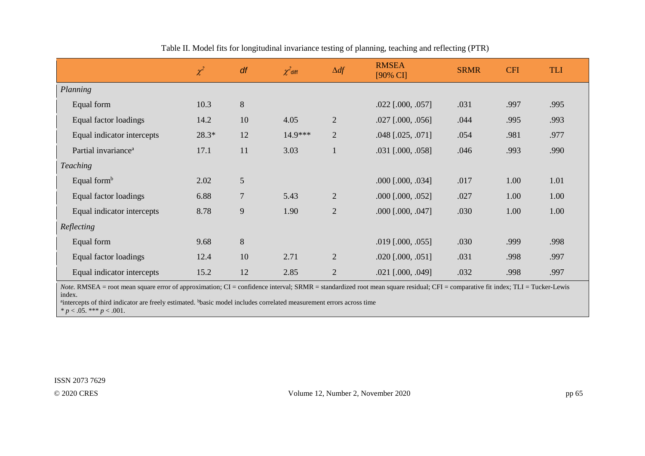|                                 | $\chi^2$ | df             | $\chi^2$ diff | $\Delta df$    | <b>RMSEA</b><br>[90% CI]   | <b>SRMR</b> | <b>CFI</b> | <b>TLI</b> |
|---------------------------------|----------|----------------|---------------|----------------|----------------------------|-------------|------------|------------|
| Planning                        |          |                |               |                |                            |             |            |            |
| Equal form                      | 10.3     | $\,8\,$        |               |                | $.022$ [.000, .057]        | .031        | .997       | .995       |
| Equal factor loadings           | 14.2     | 10             | 4.05          | $\overline{2}$ | $.027$ [.000, .056]        | .044        | .995       | .993       |
| Equal indicator intercepts      | 28.3*    | 12             | $14.9***$     | $\overline{2}$ | .048 [.025, .071]          | .054        | .981       | .977       |
| Partial invariance <sup>a</sup> | 17.1     | 11             | 3.03          |                | .031 [.000, .058]          | .046        | .993       | .990       |
| <b>Teaching</b>                 |          |                |               |                |                            |             |            |            |
| Equal form $b$                  | 2.02     | 5              |               |                | $.000$ [ $.000$ , $.034$ ] | .017        | 1.00       | 1.01       |
| Equal factor loadings           | 6.88     | $\overline{7}$ | 5.43          | $\overline{2}$ | $.000$ $[.000, .052]$      | .027        | 1.00       | 1.00       |
| Equal indicator intercepts      | 8.78     | 9              | 1.90          | $\overline{2}$ | $.000$ $[.000, .047]$      | .030        | 1.00       | 1.00       |
| Reflecting                      |          |                |               |                |                            |             |            |            |
| Equal form                      | 9.68     | $\,8\,$        |               |                | $.019$ [.000, .055]        | .030        | .999       | .998       |
| Equal factor loadings           | 12.4     | 10             | 2.71          | $\overline{2}$ | $.020$ [ $.000, .051$ ]    | .031        | .998       | .997       |
| Equal indicator intercepts      | 15.2     | 12             | 2.85          | $\overline{2}$ | $.021$ [.000, .049]        | .032        | .998       | .997       |

Table II. Model fits for longitudinal invariance testing of planning, teaching and reflecting (PTR)

*Note*. RMSEA = root mean square error of approximation; CI = confidence interval; SRMR = standardized root mean square residual; CFI = comparative fit index; TLI = Tucker-Lewis index.

<sup>a</sup>intercepts of third indicator are freely estimated. bbasic model includes correlated measurement errors across time

 $* p < .05.$  \*\*\*  $p < .001.$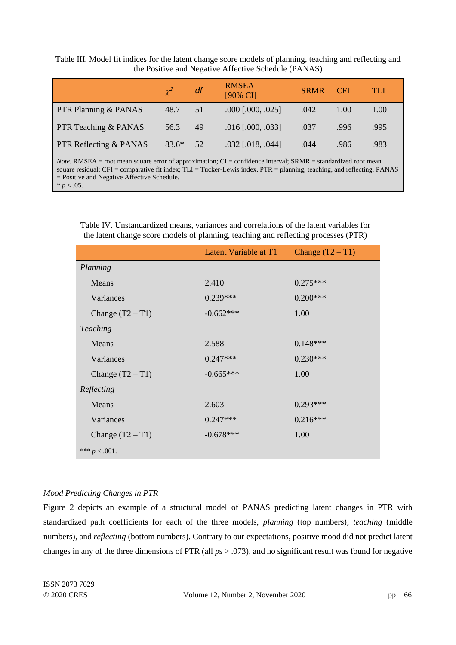Table III. Model fit indices for the latent change score models of planning, teaching and reflecting and the Positive and Negative Affective Schedule (PANAS)

|                        | $\chi^2$ | df | <b>RMSEA</b><br>$[90\% \ \mathrm{CI}]$ | <b>SRMR</b> | <b>CFI</b> | TLE  |
|------------------------|----------|----|----------------------------------------|-------------|------------|------|
| PTR Planning & PANAS   | 48.7     | 51 | $.000$ $[.000, .025]$                  | .042        | 1.00       | 1.00 |
| PTR Teaching & PANAS   | 56.3     | 49 | $.016$ [.000, .033]                    | .037        | .996       | .995 |
| PTR Reflecting & PANAS | $83.6*$  | 52 | $.032$ [.018, .044]                    | .044        | .986       | .983 |

*Note.* RMSEA = root mean square error of approximation; CI = confidence interval; SRMR = standardized root mean square residual; CFI = comparative fit index; TLI = Tucker-Lewis index. PTR = planning, teaching, and reflecting. PANAS = Positive and Negative Affective Schedule. *\* p* < .05.

|                    | Latent Variable at T1 | Change $(T2 - T1)$ |
|--------------------|-----------------------|--------------------|
| Planning           |                       |                    |
| Means              | 2.410                 | $0.275***$         |
| Variances          | $0.239***$            | $0.200***$         |
| Change $(T2 - T1)$ | $-0.662***$           | 1.00               |
| <b>Teaching</b>    |                       |                    |
| Means              | 2.588                 | $0.148***$         |
| Variances          | $0.247***$            | $0.230***$         |
| Change $(T2 - T1)$ | $-0.665***$           | 1.00               |
| Reflecting         |                       |                    |
| Means              | 2.603                 | $0.293***$         |
| Variances          | $0.247***$            | $0.216***$         |
| Change $(T2 - T1)$ | $-0.678***$           | 1.00               |
| *** $p < .001$ .   |                       |                    |

Table IV. Unstandardized means, variances and correlations of the latent variables for the latent change score models of planning, teaching and reflecting processes (PTR)

# *Mood Predicting Changes in PTR*

Figure 2 depicts an example of a structural model of PANAS predicting latent changes in PTR with standardized path coefficients for each of the three models, *planning* (top numbers)*, teaching* (middle numbers), and *reflecting* (bottom numbers). Contrary to our expectations, positive mood did not predict latent changes in any of the three dimensions of PTR (all *p*s > .073), and no significant result was found for negative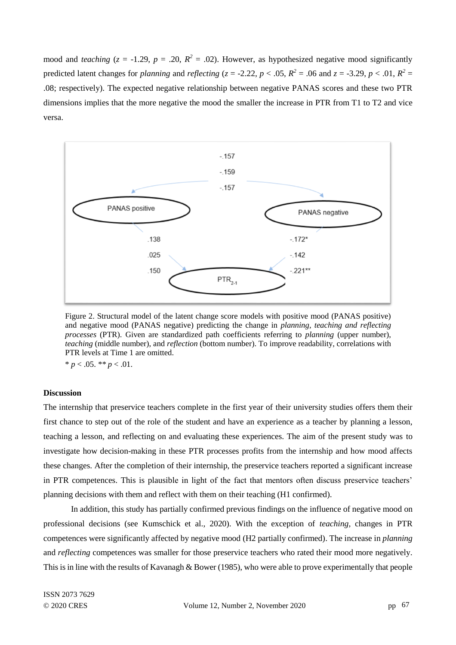mood and *teaching*  $(z = -1.29, p = .20, R^2 = .02)$ . However, as hypothesized negative mood significantly predicted latent changes for *planning* and *reflecting* ( $z = -2.22$ ,  $p < .05$ ,  $R^2 = .06$  and  $z = -3.29$ ,  $p < .01$ ,  $R^2 =$ .08; respectively). The expected negative relationship between negative PANAS scores and these two PTR dimensions implies that the more negative the mood the smaller the increase in PTR from T1 to T2 and vice versa.



Figure 2. Structural model of the latent change score models with positive mood (PANAS positive) and negative mood (PANAS negative) predicting the change in *planning, teaching and reflecting processes* (PTR). Given are standardized path coefficients referring to *planning* (upper number), *teaching* (middle number), and *reflection* (bottom number). To improve readability, correlations with PTR levels at Time 1 are omitted.

 $* p < .05. ** p < .01.$ 

# **Discussion**

The internship that preservice teachers complete in the first year of their university studies offers them their first chance to step out of the role of the student and have an experience as a teacher by planning a lesson, teaching a lesson, and reflecting on and evaluating these experiences. The aim of the present study was to investigate how decision-making in these PTR processes profits from the internship and how mood affects these changes. After the completion of their internship, the preservice teachers reported a significant increase in PTR competences. This is plausible in light of the fact that mentors often discuss preservice teachers' planning decisions with them and reflect with them on their teaching (H1 confirmed).

In addition, this study has partially confirmed previous findings on the influence of negative mood on professional decisions (see Kumschick et al., 2020). With the exception of *teaching,* changes in PTR competences were significantly affected by negative mood (H2 partially confirmed). The increase in *planning*  and *reflecting* competences was smaller for those preservice teachers who rated their mood more negatively. This is in line with the results of Kavanagh & Bower (1985), who were able to prove experimentally that people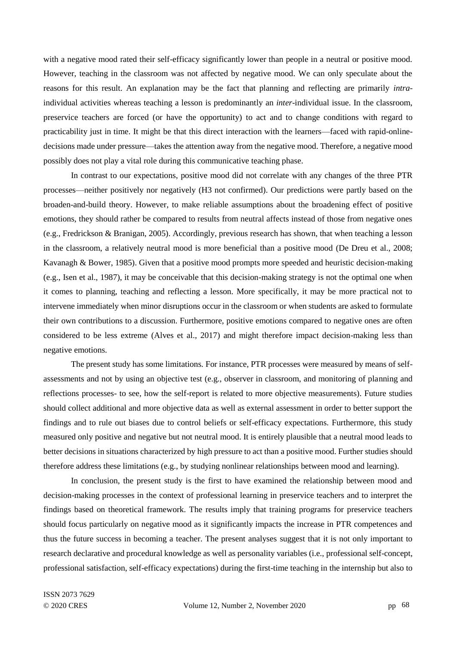with a negative mood rated their self-efficacy significantly lower than people in a neutral or positive mood. However, teaching in the classroom was not affected by negative mood. We can only speculate about the reasons for this result. An explanation may be the fact that planning and reflecting are primarily *intra*individual activities whereas teaching a lesson is predominantly an *inter*-individual issue. In the classroom, preservice teachers are forced (or have the opportunity) to act and to change conditions with regard to practicability just in time. It might be that this direct interaction with the learners—faced with rapid-onlinedecisions made under pressure—takes the attention away from the negative mood. Therefore, a negative mood possibly does not play a vital role during this communicative teaching phase.

In contrast to our expectations, positive mood did not correlate with any changes of the three PTR processes—neither positively nor negatively (H3 not confirmed). Our predictions were partly based on the broaden-and-build theory. However, to make reliable assumptions about the broadening effect of positive emotions, they should rather be compared to results from neutral affects instead of those from negative ones (e.g., Fredrickson & Branigan, 2005). Accordingly, previous research has shown, that when teaching a lesson in the classroom, a relatively neutral mood is more beneficial than a positive mood (De Dreu et al., 2008; Kavanagh & Bower, 1985). Given that a positive mood prompts more speeded and heuristic decision-making (e.g., Isen et al., 1987), it may be conceivable that this decision-making strategy is not the optimal one when it comes to planning, teaching and reflecting a lesson. More specifically, it may be more practical not to intervene immediately when minor disruptions occur in the classroom or when students are asked to formulate their own contributions to a discussion. Furthermore, positive emotions compared to negative ones are often considered to be less extreme (Alves et al., 2017) and might therefore impact decision-making less than negative emotions.

The present study has some limitations*.* For instance, PTR processes were measured by means of selfassessments and not by using an objective test (e.g., observer in classroom, and monitoring of planning and reflections processes- to see, how the self-report is related to more objective measurements). Future studies should collect additional and more objective data as well as external assessment in order to better support the findings and to rule out biases due to control beliefs or self-efficacy expectations. Furthermore, this study measured only positive and negative but not neutral mood. It is entirely plausible that a neutral mood leads to better decisions in situations characterized by high pressure to act than a positive mood. Further studies should therefore address these limitations (e.g., by studying nonlinear relationships between mood and learning).

In conclusion, the present study is the first to have examined the relationship between mood and decision-making processes in the context of professional learning in preservice teachers and to interpret the findings based on theoretical framework. The results imply that training programs for preservice teachers should focus particularly on negative mood as it significantly impacts the increase in PTR competences and thus the future success in becoming a teacher. The present analyses suggest that it is not only important to research declarative and procedural knowledge as well as personality variables (i.e., professional self-concept, professional satisfaction, self-efficacy expectations) during the first-time teaching in the internship but also to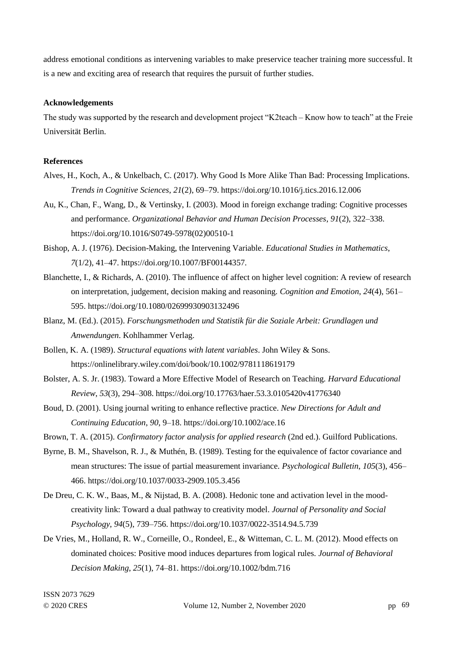address emotional conditions as intervening variables to make preservice teacher training more successful. It is a new and exciting area of research that requires the pursuit of further studies.

## **Acknowledgements**

The study was supported by the research and development project "K2teach – Know how to teach" at the Freie Universität Berlin.

#### **References**

- Alves, H., Koch, A., & Unkelbach, C. (2017). Why Good Is More Alike Than Bad: Processing Implications. *Trends in Cognitive Sciences*, *21*(2), 69–79. https://doi.org/10.1016/j.tics.2016.12.006
- Au, K., Chan, F., Wang, D., & Vertinsky, I. (2003). Mood in foreign exchange trading: Cognitive processes and performance. *Organizational Behavior and Human Decision Processes*, *91*(2), 322–338. https://doi.org/10.1016/S0749-5978(02)00510-1
- Bishop, A. J. (1976). Decision-Making, the Intervening Variable. *Educational Studies in Mathematics*, *7*(1/2), 41–47. https://doi.org/10.1007/BF00144357.
- Blanchette, I., & Richards, A. (2010). The influence of affect on higher level cognition: A review of research on interpretation, judgement, decision making and reasoning. *Cognition and Emotion*, *24*(4), 561– 595. https://doi.org/10.1080/02699930903132496
- Blanz, M. (Ed.). (2015). *Forschungsmethoden und Statistik für die Soziale Arbeit: Grundlagen und Anwendungen*. Kohlhammer Verlag.
- Bollen, K. A. (1989). *Structural equations with latent variables*. John Wiley & Sons. https://onlinelibrary.wiley.com/doi/book/10.1002/9781118619179
- Bolster, A. S. Jr. (1983). Toward a More Effective Model of Research on Teaching. *Harvard Educational Review*, *53*(3), 294–308. https://doi.org/10.17763/haer.53.3.0105420v41776340
- Boud, D. (2001). Using journal writing to enhance reflective practice. *New Directions for Adult and Continuing Education*, *90*, 9–18. https://doi.org/10.1002/ace.16
- Brown, T. A. (2015). *Confirmatory factor analysis for applied research* (2nd ed.). Guilford Publications.
- Byrne, B. M., Shavelson, R. J., & Muthén, B. (1989). Testing for the equivalence of factor covariance and mean structures: The issue of partial measurement invariance. *Psychological Bulletin*, *105*(3), 456– 466. https://doi.org/10.1037/0033-2909.105.3.456
- De Dreu, C. K. W., Baas, M., & Nijstad, B. A. (2008). Hedonic tone and activation level in the moodcreativity link: Toward a dual pathway to creativity model. *Journal of Personality and Social Psychology*, *94*(5), 739–756. https://doi.org/10.1037/0022-3514.94.5.739
- De Vries, M., Holland, R. W., Corneille, O., Rondeel, E., & Witteman, C. L. M. (2012). Mood effects on dominated choices: Positive mood induces departures from logical rules. *Journal of Behavioral Decision Making*, *25*(1), 74–81. https://doi.org/10.1002/bdm.716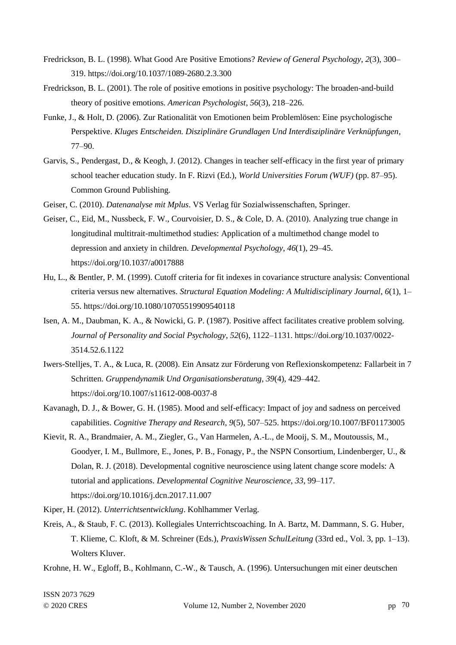- Fredrickson, B. L. (1998). What Good Are Positive Emotions? *Review of General Psychology*, *2*(3), 300– 319. https://doi.org/10.1037/1089-2680.2.3.300
- Fredrickson, B. L. (2001). The role of positive emotions in positive psychology: The broaden-and-build theory of positive emotions. *American Psychologist*, *56*(3), 218–226.
- Funke, J., & Holt, D. (2006). Zur Rationalität von Emotionen beim Problemlösen: Eine psychologische Perspektive. *Kluges Entscheiden. Disziplinäre Grundlagen Und Interdisziplinäre Verknüpfungen*, 77–90.
- Garvis, S., Pendergast, D., & Keogh, J. (2012). Changes in teacher self-efficacy in the first year of primary school teacher education study. In F. Rizvi (Ed.), *World Universities Forum (WUF)* (pp. 87–95). Common Ground Publishing.
- Geiser, C. (2010). *Datenanalyse mit Mplus*. VS Verlag für Sozialwissenschaften, Springer.
- Geiser, C., Eid, M., Nussbeck, F. W., Courvoisier, D. S., & Cole, D. A. (2010). Analyzing true change in longitudinal multitrait-multimethod studies: Application of a multimethod change model to depression and anxiety in children. *Developmental Psychology*, *46*(1), 29–45. https://doi.org/10.1037/a0017888
- Hu, L., & Bentler, P. M. (1999). Cutoff criteria for fit indexes in covariance structure analysis: Conventional criteria versus new alternatives. *Structural Equation Modeling: A Multidisciplinary Journal*, *6*(1), 1– 55. https://doi.org/10.1080/10705519909540118
- Isen, A. M., Daubman, K. A., & Nowicki, G. P. (1987). Positive affect facilitates creative problem solving. *Journal of Personality and Social Psychology*, *52*(6), 1122–1131. https://doi.org/10.1037/0022- 3514.52.6.1122
- Iwers-Stelljes, T. A., & Luca, R. (2008). Ein Ansatz zur Förderung von Reflexionskompetenz: Fallarbeit in 7 Schritten. *Gruppendynamik Und Organisationsberatung*, *39*(4), 429–442. https://doi.org/10.1007/s11612-008-0037-8
- Kavanagh, D. J., & Bower, G. H. (1985). Mood and self-efficacy: Impact of joy and sadness on perceived capabilities. *Cognitive Therapy and Research*, *9*(5), 507–525. https://doi.org/10.1007/BF01173005
- Kievit, R. A., Brandmaier, A. M., Ziegler, G., Van Harmelen, A.-L., de Mooij, S. M., Moutoussis, M., Goodyer, I. M., Bullmore, E., Jones, P. B., Fonagy, P., the NSPN Consortium, Lindenberger, U., & Dolan, R. J. (2018). Developmental cognitive neuroscience using latent change score models: A tutorial and applications. *Developmental Cognitive Neuroscience*, *33*, 99–117. https://doi.org/10.1016/j.dcn.2017.11.007
- Kiper, H. (2012). *Unterrichtsentwicklung*. Kohlhammer Verlag.
- Kreis, A., & Staub, F. C. (2013). Kollegiales Unterrichtscoaching. In A. Bartz, M. Dammann, S. G. Huber, T. Klieme, C. Kloft, & M. Schreiner (Eds.), *PraxisWissen SchulLeitung* (33rd ed., Vol. 3, pp. 1–13). Wolters Kluver.
- Krohne, H. W., Egloff, B., Kohlmann, C.-W., & Tausch, A. (1996). Untersuchungen mit einer deutschen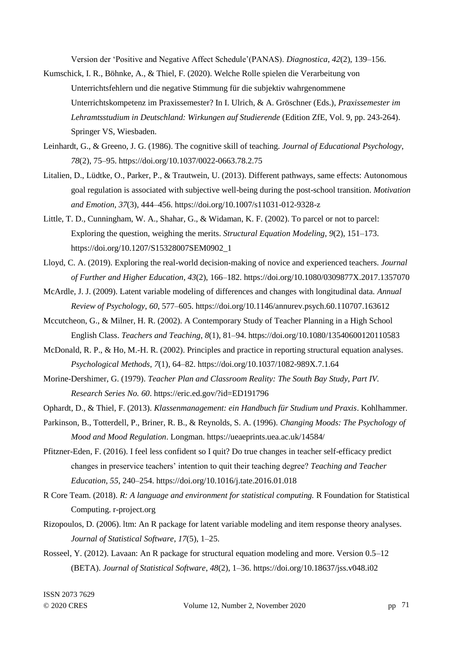Version der 'Positive and Negative Affect Schedule'(PANAS). *Diagnostica*, *42*(2), 139–156.

- Kumschick, I. R., Böhnke, A., & Thiel, F. (2020). Welche Rolle spielen die Verarbeitung von Unterrichtsfehlern und die negative Stimmung für die subjektiv wahrgenommene Unterrichtskompetenz im Praxissemester? In I. Ulrich, & A. Gröschner (Eds.), *Praxissemester im Lehramtsstudium in Deutschland: Wirkungen auf Studierende* (Edition ZfE, Vol. 9, pp. 243-264). Springer VS, Wiesbaden.
- Leinhardt, G., & Greeno, J. G. (1986). The cognitive skill of teaching. *Journal of Educational Psychology*, *78*(2), 75–95. https://doi.org/10.1037/0022-0663.78.2.75
- Litalien, D., Lüdtke, O., Parker, P., & Trautwein, U. (2013). Different pathways, same effects: Autonomous goal regulation is associated with subjective well-being during the post-school transition. *Motivation and Emotion*, *37*(3), 444–456. https://doi.org/10.1007/s11031-012-9328-z
- Little, T. D., Cunningham, W. A., Shahar, G., & Widaman, K. F. (2002). To parcel or not to parcel: Exploring the question, weighing the merits. *Structural Equation Modeling*, *9*(2), 151–173. https://doi.org/10.1207/S15328007SEM0902\_1
- Lloyd, C. A. (2019). Exploring the real-world decision-making of novice and experienced teachers. *Journal of Further and Higher Education*, *43*(2), 166–182. https://doi.org/10.1080/0309877X.2017.1357070
- McArdle, J. J. (2009). Latent variable modeling of differences and changes with longitudinal data. *Annual Review of Psychology*, *60*, 577–605. https://doi.org/10.1146/annurev.psych.60.110707.163612
- Mccutcheon, G., & Milner, H. R. (2002). A Contemporary Study of Teacher Planning in a High School English Class. *Teachers and Teaching*, *8*(1), 81–94. https://doi.org/10.1080/13540600120110583
- McDonald, R. P., & Ho, M.-H. R. (2002). Principles and practice in reporting structural equation analyses. *Psychological Methods*, *7*(1), 64–82. https://doi.org/10.1037/1082-989X.7.1.64
- Morine-Dershimer, G. (1979). *Teacher Plan and Classroom Reality: The South Bay Study, Part IV. Research Series No. 60*. https://eric.ed.gov/?id=ED191796
- Ophardt, D., & Thiel, F. (2013). *Klassenmanagement: ein Handbuch für Studium und Praxis*. Kohlhammer.
- Parkinson, B., Totterdell, P., Briner, R. B., & Reynolds, S. A. (1996). *Changing Moods: The Psychology of Mood and Mood Regulation*. Longman. https://ueaeprints.uea.ac.uk/14584/
- Pfitzner-Eden, F. (2016). I feel less confident so I quit? Do true changes in teacher self-efficacy predict changes in preservice teachers' intention to quit their teaching degree? *Teaching and Teacher Education*, *55*, 240–254. https://doi.org/10.1016/j.tate.2016.01.018
- R Core Team. (2018). *R: A language and environment for statistical computing.* R Foundation for Statistical Computing. r-project.org
- Rizopoulos, D. (2006). ltm: An R package for latent variable modeling and item response theory analyses. *Journal of Statistical Software*, *17*(5), 1–25.
- Rosseel, Y. (2012). Lavaan: An R package for structural equation modeling and more. Version 0.5–12 (BETA). *Journal of Statistical Software*, *48*(2), 1–36. https://doi.org/10.18637/jss.v048.i02